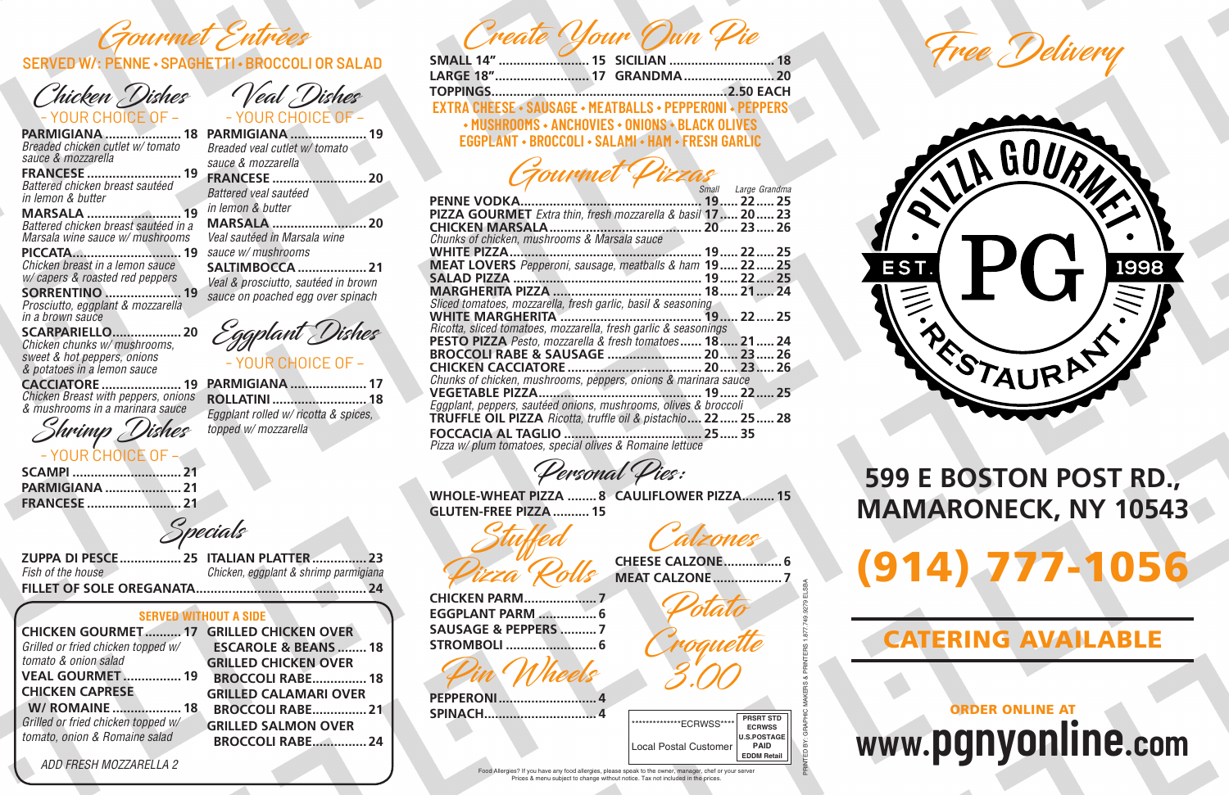Create Your Own Pie

| LARGE 18" 17 GRANDMA 20                                         |  |  |
|-----------------------------------------------------------------|--|--|
|                                                                 |  |  |
| <b>EXTRA CHEESE · SAUSAGE · MEATBALLS · PEPPERONI · PEPPERS</b> |  |  |
| → MUSHROOMS → ANCHOVIES → ONIONS → BLACK OLIVES                 |  |  |
| EGGPLANT • BROCCOLI • SALAMI • HAM • FRESH GARLIC               |  |  |

Gourmet Pizzas

|                                                                        | Small Large Grandma |  |
|------------------------------------------------------------------------|---------------------|--|
|                                                                        |                     |  |
| PIZZA GOURMET Extra thin, fresh mozzarella & basil 17 20 23            |                     |  |
|                                                                        |                     |  |
| Chunks of chicken, mushrooms & Marsala sauce                           |                     |  |
|                                                                        |                     |  |
| <b>MEAT LOVERS</b> Pepperoni, sausage, meatballs & ham <b>19 22 25</b> |                     |  |
|                                                                        |                     |  |
|                                                                        |                     |  |
| Sliced tomatoes, mozzarella, fresh garlic, basil & seasoning           |                     |  |
|                                                                        |                     |  |
| Ricotta, sliced tomatoes, mozzarella, fresh garlic & seasonings        |                     |  |
| <b>PESTO PIZZA</b> Pesto, mozzarella & fresh tomatoes <b>18 21 24</b>  |                     |  |
|                                                                        |                     |  |
|                                                                        |                     |  |
| Chunks of chicken, mushrooms, peppers, onions & marinara sauce         |                     |  |
|                                                                        |                     |  |
| Eggplant, peppers, sautéed onions, mushrooms, olives & broccoli        |                     |  |
| <b>TRUFFLE OIL PIZZA</b> Ricotta, truffle oil & pistachio, 22 25 28    |                     |  |
|                                                                        |                     |  |
| Pizza w/ plum tomatoes, special olives & Romaine lettuce               |                     |  |

Food Allergies? If you have any food allergies, please speak to the owner, manager, chef or your serv Prices & menu subject to change without notice. Tax not included in the prices.

Personal Pies:

WHOLE-WHEAT PIZZA ........ 8 CAULIFLOWER PIZZA......... 15 GLUTEN-FREE PIZZA .......... 15

Stuffed Pizza Rolls

CHICKEN PARM.................... 7 EGGPLANT PARM ................ 6 SAUSAGE & PEPPERS .......... 7 STROMBOLI ......................... 6

Pin Wheels

PEPPERONI........................... 4 SPINACH............................... 4 CHEESE CALZONE................ 6

MEAT CALZONE................... 7 Potato

Croquette

3.00

PRINTED BY: GRAPHIC MAKERS & PRINTERS 1.877.749.9279 ELSBA

tzones

**PRSRT STD ECRWSS U.S.POSTAGE PAID EDDM Retail** \*\*\*\*\*\*\*\*\*\*\*\*\*\*ECRWSS\*\*\*\* Local Postal Customer

## 599 E BOSTON POST RD.,

## (914) 777-1056 MAMARONECK, NY 10543



### **www.pgnyonline.com** ORDER ONLINE AT

### CATERING AVAILABLE

Gourmet Entrées

#### **SERVED W/: PENNE · SPAGHETTI · BROCCOLI OR SALAD**

Chicken Dishes - YOUR CHOICE OF –

PARMIGIANA ..................... 18 PARMIGIANA ..................... 19 *Breaded chicken cutlet w/ tomato sauce & mozzarella*

FRANCESE .......................... 19 *Battered chicken breast sautéed in lemon & butter*

MARSALA .......................... 19 *Battered chicken breast sautéed in a Marsala wine sauce w/ mushrooms*

PICCATA.............................. 19 *Chicken breast in a lemon sauce w/ capers & roasted red peppers*

SORRENTINO ..................... 19 *Prosciutto, eggplant & mozzarella in a brown sauce*

SCARPARIELLO................... 20 *Chicken chunks w/ mushrooms, sweet & hot peppers, onions & potatoes in a lemon sauce*

CACCIATORE ...................... 19 PARMIGIANA ..................... 17 *Chicken Breast with peppers, onions & mushrooms in a marinara sauce*

Shrimp Dishes - YOUR CHOICE OF –

| <b>I UURIN UHUULUI</b> T |  |
|--------------------------|--|
| <b>SCAMPI  21</b>        |  |
| <b>PARMIGIANA  21</b>    |  |
|                          |  |

Veal Dishes - YOUR CHOICE OF –

*Breaded veal cutlet w/ tomato sauce & mozzarella*

FRANCESE .......................... 20 *Battered veal sautéed in lemon & butter*

MARSALA .......................... 20 *Veal sautéed in Marsala wine* 

*sauce w/ mushrooms* SALTIMBOCCA ................... 21

*Veal & prosciutto, sautéed in brown sauce on poached egg over spinach*



ROLLATINI .......................... 18 *Eggplant rolled w/ ricotta & spices, topped w/ mozzarella*

Specials

*Fish of the house*

ZUPPA DI PESCE................. 25 ITALIAN PLATTER............... 23 *Chicken, eggplant & shrimp parmigiana* FILLET OF SOLE OREGANATA............................................... 24

#### **SERVED WITHOUT A SIDE**

| <b>CHICKEN GOURMET 17 GRILLED CHICKEN OVER</b> |
|------------------------------------------------|
| <b>ESCAROLE &amp; BEANS  18</b>                |
| <b>GRILLED CHICKEN OVER</b>                    |
| <b>BROCCOLI RABE 18</b>                        |
| <b>GRILLED CALAMARI OVER</b>                   |
| <b>BROCCOLI RABE 21</b>                        |
| <b>GRILLED SALMON OVER</b>                     |
| <b>BROCCOLI RABE 24</b>                        |
|                                                |

*ADD FRESH MOZZARELLA 2*